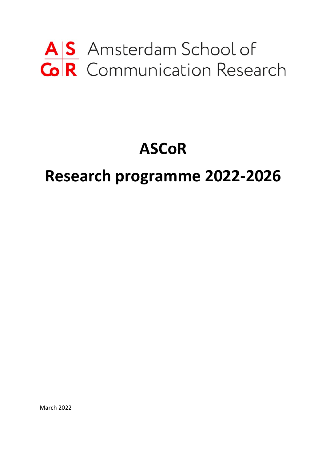# AS Amsterdam School of<br>
GR Communication Research

## **ASCoR**

### **Research programme 2022-2026**

March 2022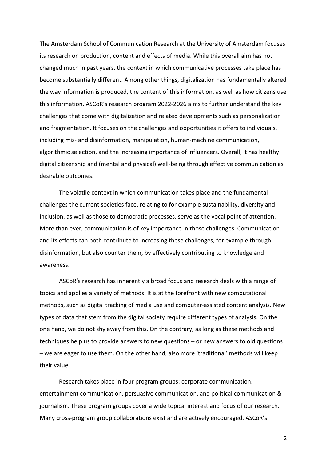The Amsterdam School of Communication Research at the University of Amsterdam focuses its research on production, content and effects of media. While this overall aim has not changed much in past years, the context in which communicative processes take place has become substantially different. Among other things, digitalization has fundamentally altered the way information is produced, the content of this information, as well as how citizens use this information. ASCoR's research program 2022-2026 aims to further understand the key challenges that come with digitalization and related developments such as personalization and fragmentation. It focuses on the challenges and opportunities it offers to individuals, including mis- and disinformation, manipulation, human-machine communication, algorithmic selection, and the increasing importance of influencers. Overall, it has healthy digital citizenship and (mental and physical) well-being through effective communication as desirable outcomes.

The volatile context in which communication takes place and the fundamental challenges the current societies face, relating to for example sustainability, diversity and inclusion, as well as those to democratic processes, serve as the vocal point of attention. More than ever, communication is of key importance in those challenges. Communication and its effects can both contribute to increasing these challenges, for example through disinformation, but also counter them, by effectively contributing to knowledge and awareness.

ASCoR's research has inherently a broad focus and research deals with a range of topics and applies a variety of methods. It is at the forefront with new computational methods, such as digital tracking of media use and computer-assisted content analysis. New types of data that stem from the digital society require different types of analysis. On the one hand, we do not shy away from this. On the contrary, as long as these methods and techniques help us to provide answers to new questions – or new answers to old questions – we are eager to use them. On the other hand, also more 'traditional' methods will keep their value.

Research takes place in four program groups: corporate communication, entertainment communication, persuasive communication, and political communication & journalism. These program groups cover a wide topical interest and focus of our research. Many cross-program group collaborations exist and are actively encouraged. ASCoR's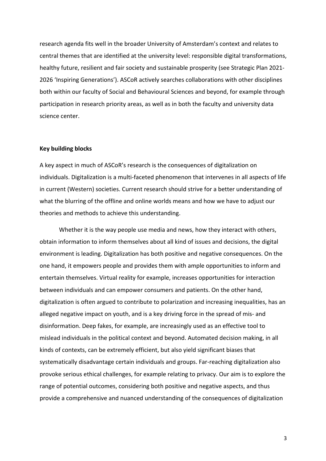research agenda fits well in the broader University of Amsterdam's context and relates to central themes that are identified at the university level: responsible digital transformations, healthy future, resilient and fair society and sustainable prosperity (see Strategic Plan 2021- 2026 'Inspiring Generations'). ASCoR actively searches collaborations with other disciplines both within our faculty of Social and Behavioural Sciences and beyond, for example through participation in research priority areas, as well as in both the faculty and university data science center.

#### **Key building blocks**

A key aspect in much of ASCoR's research is the consequences of digitalization on individuals. Digitalization is a multi-faceted phenomenon that intervenes in all aspects of life in current (Western) societies. Current research should strive for a better understanding of what the blurring of the offline and online worlds means and how we have to adjust our theories and methods to achieve this understanding.

Whether it is the way people use media and news, how they interact with others, obtain information to inform themselves about all kind of issues and decisions, the digital environment is leading. Digitalization has both positive and negative consequences. On the one hand, it empowers people and provides them with ample opportunities to inform and entertain themselves. Virtual reality for example, increases opportunities for interaction between individuals and can empower consumers and patients. On the other hand, digitalization is often argued to contribute to polarization and increasing inequalities, has an alleged negative impact on youth, and is a key driving force in the spread of mis- and disinformation. Deep fakes, for example, are increasingly used as an effective tool to mislead individuals in the political context and beyond. Automated decision making, in all kinds of contexts, can be extremely efficient, but also yield significant biases that systematically disadvantage certain individuals and groups. Far-reaching digitalization also provoke serious ethical challenges, for example relating to privacy. Our aim is to explore the range of potential outcomes, considering both positive and negative aspects, and thus provide a comprehensive and nuanced understanding of the consequences of digitalization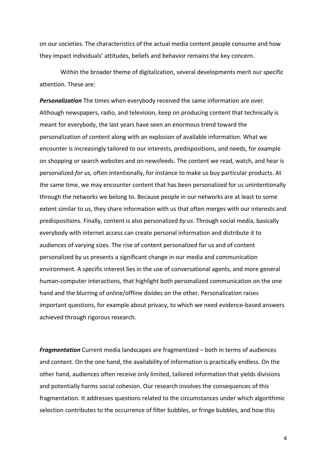on our societies. The characteristics of the actual media content people consume and how they impact individuals' attitudes, beliefs and behavior remains the key concern.

Within the broader theme of digitalization, several developments merit our specific attention. These are:

*Personalization* The times when everybody received the same information are over. Although newspapers, radio, and television, keep on producing content that technically is meant for everybody, the last years have seen an enormous trend toward the personalization of content along with an explosion of available information. What we encounter is increasingly tailored to our interests, predispositions, and needs, for example on shopping or search websites and on newsfeeds. The content we read, watch, and hear is personalized *for us*, often intentionally, for instance to make us buy particular products. At the same time, we may encounter content that has been personalized for us unintentionally through the networks we belong to. Because people in our networks are at least to some extent similar to us, they share information with us that often merges with our interests and predispositions. Finally, content is also personalized *by us*. Through social media, basically everybody with internet access can create personal information and distribute it to audiences of varying sizes. The rise of content personalized for us and of content personalized by us presents a significant change in our media and communication environment. A specific interest lies in the use of conversational agents, and more general human-computer interactions, that highlight both personalized communication on the one hand and the blurring of online/offline divides on the other. Personalization raises important questions, for example about privacy, to which we need evidence-based answers achieved through rigorous research.

*Fragmentation* Current media landscapes are fragmentized – both in terms of audiences and content. On the one hand, the availability of information is practically endless. On the other hand, audiences often receive only limited, tailored information that yields divisions and potentially harms social cohesion. Our research involves the consequences of this fragmentation. It addresses questions related to the circumstances under which algorithmic selection contributes to the occurrence of filter bubbles, or fringe bubbles, and how this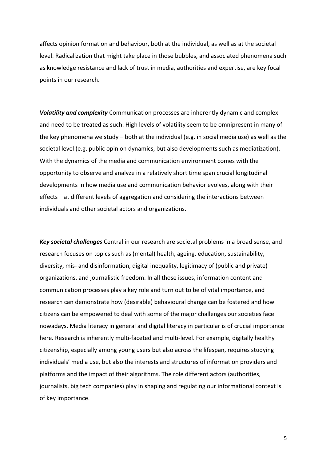affects opinion formation and behaviour, both at the individual, as well as at the societal level. Radicalization that might take place in those bubbles, and associated phenomena such as knowledge resistance and lack of trust in media, authorities and expertise, are key focal points in our research.

*Volatility and complexity* Communication processes are inherently dynamic and complex and need to be treated as such. High levels of volatility seem to be omnipresent in many of the key phenomena we study – both at the individual (e.g. in social media use) as well as the societal level (e.g. public opinion dynamics, but also developments such as mediatization). With the dynamics of the media and communication environment comes with the opportunity to observe and analyze in a relatively short time span crucial longitudinal developments in how media use and communication behavior evolves, along with their effects – at different levels of aggregation and considering the interactions between individuals and other societal actors and organizations.

*Key societal challenges* Central in our research are societal problems in a broad sense, and research focuses on topics such as (mental) health, ageing, education, sustainability, diversity, mis- and disinformation, digital inequality, legitimacy of (public and private) organizations, and journalistic freedom. In all those issues, information content and communication processes play a key role and turn out to be of vital importance, and research can demonstrate how (desirable) behavioural change can be fostered and how citizens can be empowered to deal with some of the major challenges our societies face nowadays. Media literacy in general and digital literacy in particular is of crucial importance here. Research is inherently multi-faceted and multi-level. For example, digitally healthy citizenship, especially among young users but also across the lifespan, requires studying individuals' media use, but also the interests and structures of information providers and platforms and the impact of their algorithms. The role different actors (authorities, journalists, big tech companies) play in shaping and regulating our informational context is of key importance.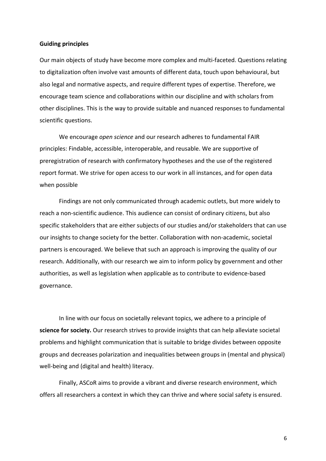#### **Guiding principles**

Our main objects of study have become more complex and multi-faceted. Questions relating to digitalization often involve vast amounts of different data, touch upon behavioural, but also legal and normative aspects, and require different types of expertise. Therefore, we encourage team science and collaborations within our discipline and with scholars from other disciplines. This is the way to provide suitable and nuanced responses to fundamental scientific questions.

We encourage *open science* and our research adheres to fundamental FAIR principles: Findable, accessible, interoperable, and reusable. We are supportive of preregistration of research with confirmatory hypotheses and the use of the registered report format. We strive for open access to our work in all instances, and for open data when possible

Findings are not only communicated through academic outlets, but more widely to reach a non-scientific audience. This audience can consist of ordinary citizens, but also specific stakeholders that are either subjects of our studies and/or stakeholders that can use our insights to change society for the better. Collaboration with non-academic, societal partners is encouraged. We believe that such an approach is improving the quality of our research. Additionally, with our research we aim to inform policy by government and other authorities, as well as legislation when applicable as to contribute to evidence-based governance.

In line with our focus on societally relevant topics, we adhere to a principle of **science for society.** Our research strives to provide insights that can help alleviate societal problems and highlight communication that is suitable to bridge divides between opposite groups and decreases polarization and inequalities between groups in (mental and physical) well-being and (digital and health) literacy.

Finally, ASCoR aims to provide a vibrant and diverse research environment, which offers all researchers a context in which they can thrive and where social safety is ensured.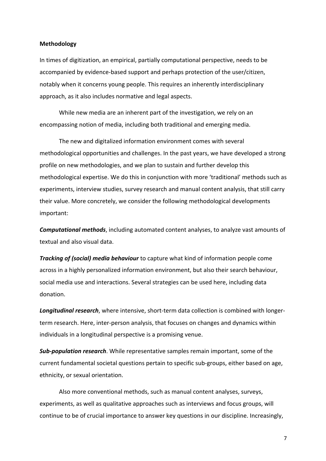#### **Methodology**

In times of digitization, an empirical, partially computational perspective, needs to be accompanied by evidence-based support and perhaps protection of the user/citizen, notably when it concerns young people. This requires an inherently interdisciplinary approach, as it also includes normative and legal aspects.

While new media are an inherent part of the investigation, we rely on an encompassing notion of media, including both traditional and emerging media.

The new and digitalized information environment comes with several methodological opportunities and challenges. In the past years, we have developed a strong profile on new methodologies, and we plan to sustain and further develop this methodological expertise. We do this in conjunction with more 'traditional' methods such as experiments, interview studies, survey research and manual content analysis, that still carry their value. More concretely, we consider the following methodological developments important:

*Computational methods*, including automated content analyses, to analyze vast amounts of textual and also visual data.

*Tracking of (social) media behaviour* to capture what kind of information people come across in a highly personalized information environment, but also their search behaviour, social media use and interactions. Several strategies can be used here, including data donation.

*Longitudinal research*, where intensive, short-term data collection is combined with longerterm research. Here, inter-person analysis, that focuses on changes and dynamics within individuals in a longitudinal perspective is a promising venue.

*Sub-population research*. While representative samples remain important, some of the current fundamental societal questions pertain to specific sub-groups, either based on age, ethnicity, or sexual orientation.

Also more conventional methods, such as manual content analyses, surveys, experiments, as well as qualitative approaches such as interviews and focus groups, will continue to be of crucial importance to answer key questions in our discipline. Increasingly,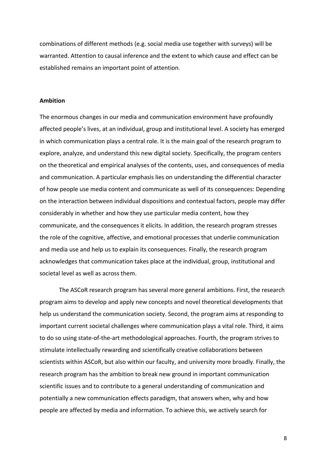combinations of different methods (e.g. social media use together with surveys) will be warranted. Attention to causal inference and the extent to which cause and effect can be established remains an important point of attention.

#### **Ambition**

The enormous changes in our media and communication environment have profoundly affected people's lives, at an individual, group and institutional level. A society has emerged in which communication plays a central role. It is the main goal of the research program to explore, analyze, and understand this new digital society. Specifically, the program centers on the theoretical and empirical analyses of the contents, uses, and consequences of media and communication. A particular emphasis lies on understanding the differential character of how people use media content and communicate as well of its consequences: Depending on the interaction between individual dispositions and contextual factors, people may differ considerably in whether and how they use particular media content, how they communicate, and the consequences it elicits. In addition, the research program stresses the role of the cognitive, affective, and emotional processes that underlie communication and media use and help us to explain its consequences. Finally, the research program acknowledges that communication takes place at the individual, group, institutional and societal level as well as across them.

The ASCoR research program has several more general ambitions. First, the research program aims to develop and apply new concepts and novel theoretical developments that help us understand the communication society. Second, the program aims at responding to important current societal challenges where communication plays a vital role. Third, it aims to do so using state-of-the-art methodological approaches. Fourth, the program strives to stimulate intellectually rewarding and scientifically creative collaborations between scientists within ASCoR, but also within our faculty, and university more broadly. Finally, the research program has the ambition to break new ground in important communication scientific issues and to contribute to a general understanding of communication and potentially a new communication effects paradigm, that answers when, why and how people are affected by media and information. To achieve this, we actively search for